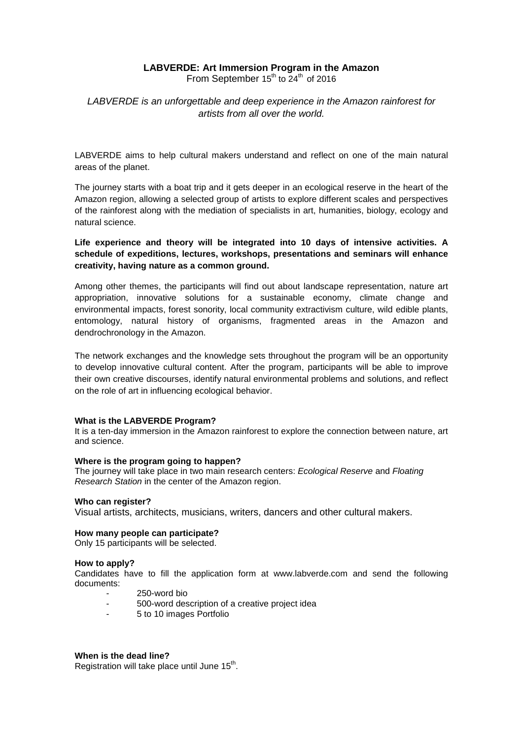## **LABVERDE: Art Immersion Program in the Amazon**

From September  $15<sup>th</sup>$  to  $24<sup>th</sup>$  of 2016

# *LABVERDE is an unforgettable and deep experience in the Amazon rainforest for artists from all over the world.*

LABVERDE aims to help cultural makers understand and reflect on one of the main natural areas of the planet.

The journey starts with a boat trip and it gets deeper in an ecological reserve in the heart of the Amazon region, allowing a selected group of artists to explore different scales and perspectives of the rainforest along with the mediation of specialists in art, humanities, biology, ecology and natural science.

**Life experience and theory will be integrated into 10 days of intensive activities. A schedule of expeditions, lectures, workshops, presentations and seminars will enhance creativity, having nature as a common ground.** 

Among other themes, the participants will find out about landscape representation, nature art appropriation, innovative solutions for a sustainable economy, climate change and environmental impacts, forest sonority, local community extractivism culture, wild edible plants, entomology, natural history of organisms, fragmented areas in the Amazon and dendrochronology in the Amazon.

The network exchanges and the knowledge sets throughout the program will be an opportunity to develop innovative cultural content. After the program, participants will be able to improve their own creative discourses, identify natural environmental problems and solutions, and reflect on the role of art in influencing ecological behavior.

## **What is the LABVERDE Program?**

It is a ten-day immersion in the Amazon rainforest to explore the connection between nature, art and science.

## **Where is the program going to happen?**

The journey will take place in two main research centers: *Ecological Reserve* and *Floating Research Station* in the center of the Amazon region.

#### **Who can register?**

Visual artists, architects, musicians, writers, dancers and other cultural makers.

#### **How many people can participate?**

Only 15 participants will be selected.

#### **How to apply?**

Candidates have to fill the application form at [www.labverde.com](http://www.labverde.com/) and send the following documents:

- 250-word bio
- 500-word description of a creative project idea
- 5 to 10 images Portfolio

#### **When is the dead line?**

Registration will take place until June  $15<sup>th</sup>$ .